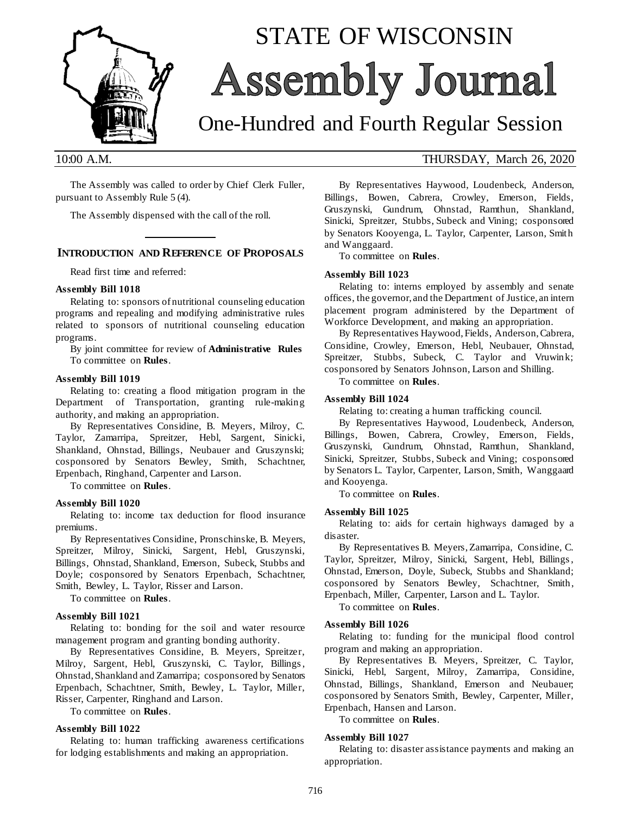

# STATE OF WISCONSIN **Assembly Journal**

## One-Hundred and Fourth Regular Session

The Assembly was called to order by Chief Clerk Fuller, pursuant to Assembly Rule 5 (4).

The Assembly dispensed with the call of the roll.

## **\_\_\_\_\_\_\_\_\_\_\_\_\_ INTRODUCTION AND REFERENCE OF PROPOSALS**

Read first time and referred:

#### **Assembly Bill 1018**

Relating to: sponsors of nutritional counseling education programs and repealing and modifying administrative rules related to sponsors of nutritional counseling education programs.

By joint committee for review of **Administrative Rules** To committee on **Rules**.

#### **Assembly Bill 1019**

Relating to: creating a flood mitigation program in the Department of Transportation, granting rule-making authority, and making an appropriation.

By Representatives Considine, B. Meyers, Milroy, C. Taylor, Zamarripa, Spreitzer, Hebl, Sargent, Sinicki, Shankland, Ohnstad, Billings, Neubauer and Gruszynski; cosponsored by Senators Bewley, Smith, Schachtner, Erpenbach, Ringhand, Carpenter and Larson.

To committee on **Rules**.

#### **Assembly Bill 1020**

Relating to: income tax deduction for flood insurance premiums.

By Representatives Considine, Pronschinske, B. Meyers, Spreitzer, Milroy, Sinicki, Sargent, Hebl, Gruszynski, Billings, Ohnstad, Shankland, Emerson, Subeck, Stubbs and Doyle; cosponsored by Senators Erpenbach, Schachtner, Smith, Bewley, L. Taylor, Risser and Larson.

To committee on **Rules**.

#### **Assembly Bill 1021**

Relating to: bonding for the soil and water resource management program and granting bonding authority.

By Representatives Considine, B. Meyers, Spreitzer, Milroy, Sargent, Hebl, Gruszynski, C. Taylor, Billings , Ohnstad, Shankland and Zamarripa; cosponsored by Senators Erpenbach, Schachtner, Smith, Bewley, L. Taylor, Miller, Risser, Carpenter, Ringhand and Larson.

To committee on **Rules**.

#### **Assembly Bill 1022**

Relating to: human trafficking awareness certifications for lodging establishments and making an appropriation.

### 10:00 A.M. THURSDAY, March 26, 2020

By Representatives Haywood, Loudenbeck, Anderson, Billings, Bowen, Cabrera, Crowley, Emerson, Fields, Gruszynski, Gundrum, Ohnstad, Ramthun, Shankland, Sinicki, Spreitzer, Stubbs, Subeck and Vining; cosponsored by Senators Kooyenga, L. Taylor, Carpenter, Larson, Smith and Wanggaard.

To committee on **Rules**.

#### **Assembly Bill 1023**

Relating to: interns employed by assembly and senate offices, the governor, and the Department of Justice, an intern placement program administered by the Department of Workforce Development, and making an appropriation.

By Representatives Haywood, Fields, Anderson, Cabrera, Considine, Crowley, Emerson, Hebl, Neubauer, Ohnstad, Spreitzer, Stubbs, Subeck, C. Taylor and Vruwink; cosponsored by Senators Johnson, Larson and Shilling.

To committee on **Rules**.

#### **Assembly Bill 1024**

Relating to: creating a human trafficking council.

By Representatives Haywood, Loudenbeck, Anderson, Billings, Bowen, Cabrera, Crowley, Emerson, Fields, Gruszynski, Gundrum, Ohnstad, Ramthun, Shankland, Sinicki, Spreitzer, Stubbs, Subeck and Vining; cosponsored by Senators L. Taylor, Carpenter, Larson, Smith, Wanggaard and Kooyenga.

To committee on **Rules**.

#### **Assembly Bill 1025**

Relating to: aids for certain highways damaged by a disaster.

By Representatives B. Meyers, Zamarripa, Considine, C. Taylor, Spreitzer, Milroy, Sinicki, Sargent, Hebl, Billings , Ohnstad, Emerson, Doyle, Subeck, Stubbs and Shankland; cosponsored by Senators Bewley, Schachtner, Smith, Erpenbach, Miller, Carpenter, Larson and L. Taylor.

To committee on **Rules**.

#### **Assembly Bill 1026**

Relating to: funding for the municipal flood control program and making an appropriation.

By Representatives B. Meyers, Spreitzer, C. Taylor, Sinicki, Hebl, Sargent, Milroy, Zamarripa, Considine, Ohnstad, Billings, Shankland, Emerson and Neubauer; cosponsored by Senators Smith, Bewley, Carpenter, Miller, Erpenbach, Hansen and Larson.

To committee on **Rules**.

#### **Assembly Bill 1027**

Relating to: disaster assistance payments and making an appropriation.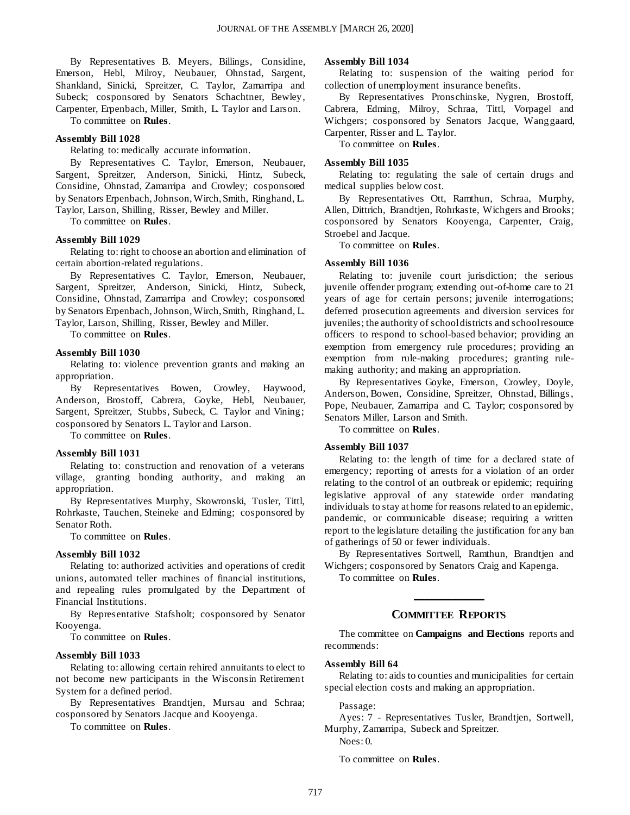By Representatives B. Meyers, Billings, Considine, Emerson, Hebl, Milroy, Neubauer, Ohnstad, Sargent, Shankland, Sinicki, Spreitzer, C. Taylor, Zamarripa and Subeck; cosponsored by Senators Schachtner, Bewley, Carpenter, Erpenbach, Miller, Smith, L. Taylor and Larson.

To committee on **Rules**.

#### **Assembly Bill 1028**

Relating to: medically accurate information.

By Representatives C. Taylor, Emerson, Neubauer, Sargent, Spreitzer, Anderson, Sinicki, Hintz, Subeck, Considine, Ohnstad, Zamarripa and Crowley; cosponsored by Senators Erpenbach, Johnson, Wirch, Smith, Ringhand, L. Taylor, Larson, Shilling, Risser, Bewley and Miller.

To committee on **Rules**.

#### **Assembly Bill 1029**

Relating to: right to choose an abortion and elimination of certain abortion-related regulations.

By Representatives C. Taylor, Emerson, Neubauer, Sargent, Spreitzer, Anderson, Sinicki, Hintz, Subeck, Considine, Ohnstad, Zamarripa and Crowley; cosponsored by Senators Erpenbach, Johnson, Wirch, Smith, Ringhand, L. Taylor, Larson, Shilling, Risser, Bewley and Miller.

To committee on **Rules**.

#### **Assembly Bill 1030**

Relating to: violence prevention grants and making an appropriation.

By Representatives Bowen, Crowley, Haywood, Anderson, Brostoff, Cabrera, Goyke, Hebl, Neubauer, Sargent, Spreitzer, Stubbs, Subeck, C. Taylor and Vining; cosponsored by Senators L. Taylor and Larson.

To committee on **Rules**.

#### **Assembly Bill 1031**

Relating to: construction and renovation of a veterans village, granting bonding authority, and making an appropriation.

By Representatives Murphy, Skowronski, Tusler, Tittl, Rohrkaste, Tauchen, Steineke and Edming; cosponsored by Senator Roth.

To committee on **Rules**.

#### **Assembly Bill 1032**

Relating to: authorized activities and operations of credit unions, automated teller machines of financial institutions, and repealing rules promulgated by the Department of Financial Institutions.

By Representative Stafsholt; cosponsored by Senator Kooyenga.

To committee on **Rules**.

#### **Assembly Bill 1033**

Relating to: allowing certain rehired annuitants to elect to not become new participants in the Wisconsin Retirement System for a defined period.

By Representatives Brandtjen, Mursau and Schraa; cosponsored by Senators Jacque and Kooyenga.

To committee on **Rules**.

#### **Assembly Bill 1034**

Relating to: suspension of the waiting period for collection of unemployment insurance benefits.

By Representatives Pronschinske, Nygren, Brostoff, Cabrera, Edming, Milroy, Schraa, Tittl, Vorpagel and Wichgers; cosponsored by Senators Jacque, Wanggaard, Carpenter, Risser and L. Taylor.

To committee on **Rules**.

#### **Assembly Bill 1035**

Relating to: regulating the sale of certain drugs and medical supplies below cost.

By Representatives Ott, Ramthun, Schraa, Murphy, Allen, Dittrich, Brandtjen, Rohrkaste, Wichgers and Brooks; cosponsored by Senators Kooyenga, Carpenter, Craig, Stroebel and Jacque.

To committee on **Rules**.

#### **Assembly Bill 1036**

Relating to: juvenile court jurisdiction; the serious juvenile offender program; extending out-of-home care to 21 years of age for certain persons; juvenile interrogations; deferred prosecution agreements and diversion services for juveniles; the authority of school districts and school resource officers to respond to school-based behavior; providing an exemption from emergency rule procedures; providing an exemption from rule-making procedures; granting rulemaking authority; and making an appropriation.

By Representatives Goyke, Emerson, Crowley, Doyle, Anderson, Bowen, Considine, Spreitzer, Ohnstad, Billings , Pope, Neubauer, Zamarripa and C. Taylor; cosponsored by Senators Miller, Larson and Smith.

To committee on **Rules**.

#### **Assembly Bill 1037**

Relating to: the length of time for a declared state of emergency; reporting of arrests for a violation of an order relating to the control of an outbreak or epidemic; requiring legislative approval of any statewide order mandating individuals to stay at home for reasons related to an epidemic, pandemic, or communicable disease; requiring a written report to the legislature detailing the justification for any ban of gatherings of 50 or fewer individuals.

By Representatives Sortwell, Ramthun, Brandtjen and Wichgers; cosponsored by Senators Craig and Kapenga.

To committee on **Rules**.

## **\_\_\_\_\_\_\_\_\_\_\_\_\_ COMMITTEE REPORTS**

The committee on **Campaigns and Elections** reports and recommends:

#### **Assembly Bill 64**

Relating to: aids to counties and municipalities for certain special election costs and making an appropriation.

Passage:

Ayes: 7 - Representatives Tusler, Brandtjen, Sortwell, Murphy, Zamarripa, Subeck and Spreitzer.

Noes: 0.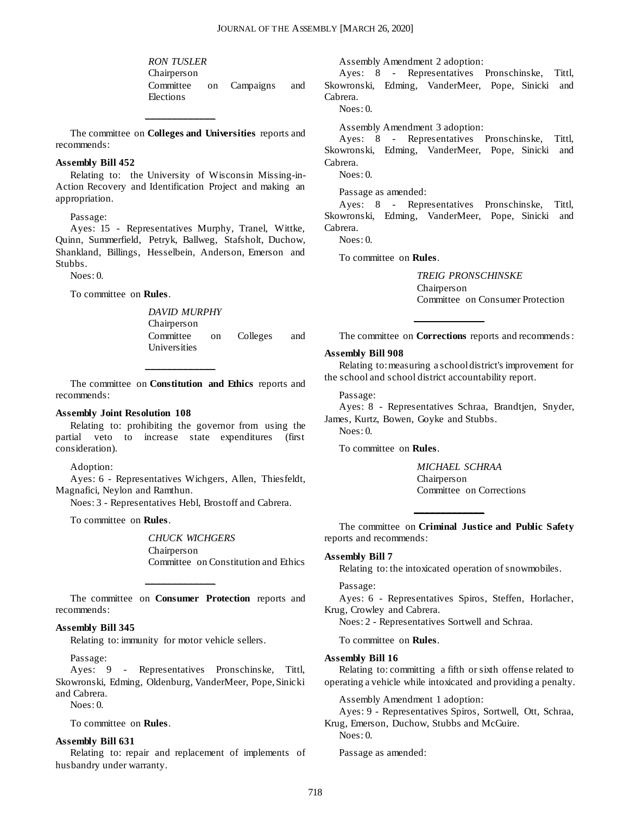*RON TUSLER* Chairperson Committee on Campaigns and Elections

The committee on **Colleges and Universities** reports and recommends:

**\_\_\_\_\_\_\_\_\_\_\_\_\_**

#### **Assembly Bill 452**

Relating to: the University of Wisconsin Missing-in-Action Recovery and Identification Project and making an appropriation.

Passage:

Ayes: 15 - Representatives Murphy, Tranel, Wittke, Quinn, Summerfield, Petryk, Ballweg, Stafsholt, Duchow, Shankland, Billings, Hesselbein, Anderson, Emerson and Stubbs.

 $N$ oes: 0.

To committee on **Rules**.

*DAVID MURPHY* Chairperson Committee on Colleges and Universities

The committee on **Constitution and Ethics** reports and recommends:

**\_\_\_\_\_\_\_\_\_\_\_\_\_**

#### **Assembly Joint Resolution 108**

Relating to: prohibiting the governor from using the partial veto to increase state expenditures (first consideration).

Adoption:

Ayes: 6 - Representatives Wichgers, Allen, Thiesfeldt, Magnafici, Neylon and Ramthun.

Noes: 3 - Representatives Hebl, Brostoff and Cabrera.

To committee on **Rules**.

*CHUCK WICHGERS* Chairperson Committee on Constitution and Ethics

The committee on **Consumer Protection** reports and recommends:

**\_\_\_\_\_\_\_\_\_\_\_\_\_**

#### **Assembly Bill 345**

Relating to: immunity for motor vehicle sellers.

Passage:

Ayes: 9 - Representatives Pronschinske, Tittl, Skowronski, Edming, Oldenburg, VanderMeer, Pope, Sinicki and Cabrera.

Noes: 0.

To committee on **Rules**.

#### **Assembly Bill 631**

Relating to: repair and replacement of implements of husbandry under warranty.

Assembly Amendment 2 adoption:

Ayes: 8 - Representatives Pronschinske, Tittl, Skowronski, Edming, VanderMeer, Pope, Sinicki and Cabrera.

Noes: 0.

Assembly Amendment 3 adoption:

Ayes: 8 - Representatives Pronschinske, Tittl, Skowronski, Edming, VanderMeer, Pope, Sinicki and Cabrera.

Noes: 0.

Passage as amended:

Ayes: 8 - Representatives Pronschinske, Tittl, Skowronski, Edming, VanderMeer, Pope, Sinicki and Cabrera.

Noes: 0.

To committee on **Rules**.

*TREIG PRONSCHINSKE* Chairperson Committee on Consumer Protection

The committee on **Corrections** reports and recommends :

**\_\_\_\_\_\_\_\_\_\_\_\_\_**

#### **Assembly Bill 908**

Relating to: measuring a school district's improvement for the school and school district accountability report.

Passage:

Ayes: 8 - Representatives Schraa, Brandtjen, Snyder, James, Kurtz, Bowen, Goyke and Stubbs.

Noes: 0.

To committee on **Rules**.

*MICHAEL SCHRAA* Chairperson Committee on Corrections

The committee on **Criminal Justice and Public Safety** reports and recommends:

**\_\_\_\_\_\_\_\_\_\_\_\_\_**

#### **Assembly Bill 7**

Relating to: the intoxicated operation of snowmobiles.

Passage:

Ayes: 6 - Representatives Spiros, Steffen, Horlacher, Krug, Crowley and Cabrera.

Noes: 2 - Representatives Sortwell and Schraa.

To committee on **Rules**.

#### **Assembly Bill 16**

Relating to: committing a fifth or sixth offense related to operating a vehicle while intoxicated and providing a penalty.

Assembly Amendment 1 adoption:

Ayes: 9 - Representatives Spiros, Sortwell, Ott, Schraa, Krug, Emerson, Duchow, Stubbs and McGuire. Noes: 0.

Passage as amended: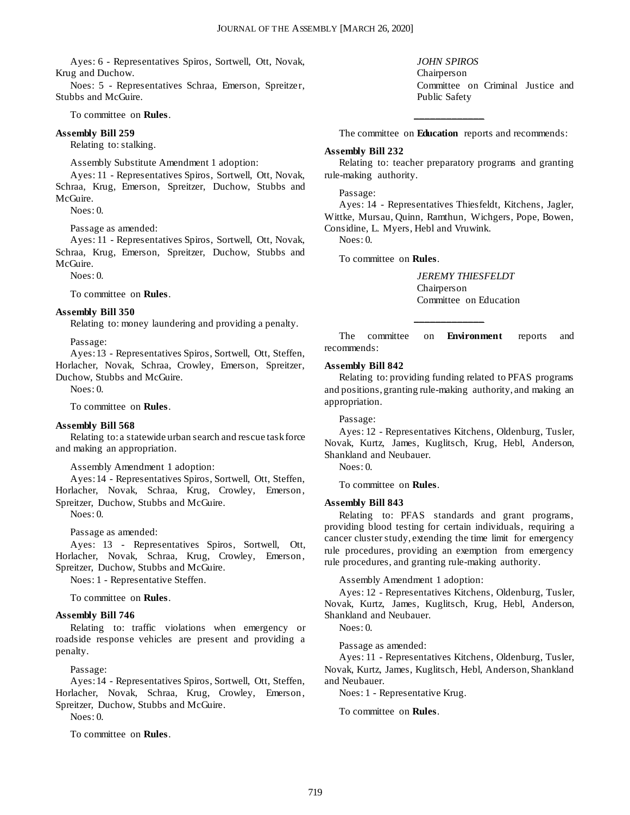Ayes: 6 - Representatives Spiros, Sortwell, Ott, Novak, Krug and Duchow.

Noes: 5 - Representatives Schraa, Emerson, Spreitzer, Stubbs and McGuire.

#### To committee on **Rules**.

#### **Assembly Bill 259**

Relating to: stalking.

Assembly Substitute Amendment 1 adoption:

Ayes: 11 - Representatives Spiros, Sortwell, Ott, Novak, Schraa, Krug, Emerson, Spreitzer, Duchow, Stubbs and McGuire.

 $N$ oes: 0.

Passage as amended:

Ayes: 11 - Representatives Spiros, Sortwell, Ott, Novak, Schraa, Krug, Emerson, Spreitzer, Duchow, Stubbs and McGuire.

 $N$ oes: 0.

#### To committee on **Rules**.

#### **Assembly Bill 350**

Relating to: money laundering and providing a penalty.

Passage:

Ayes: 13 - Representatives Spiros, Sortwell, Ott, Steffen, Horlacher, Novak, Schraa, Crowley, Emerson, Spreitzer, Duchow, Stubbs and McGuire.

 $N$ oes: 0.

To committee on **Rules**.

#### **Assembly Bill 568**

Relating to: a statewide urban search and rescue task force and making an appropriation.

Assembly Amendment 1 adoption:

Ayes: 14 - Representatives Spiros, Sortwell, Ott, Steffen, Horlacher, Novak, Schraa, Krug, Crowley, Emerson, Spreitzer, Duchow, Stubbs and McGuire.

Noes: 0.

Passage as amended:

Ayes: 13 - Representatives Spiros, Sortwell, Ott, Horlacher, Novak, Schraa, Krug, Crowley, Emerson, Spreitzer, Duchow, Stubbs and McGuire.

Noes: 1 - Representative Steffen.

To committee on **Rules**.

#### **Assembly Bill 746**

Relating to: traffic violations when emergency or roadside response vehicles are present and providing a penalty.

Passage:

Ayes: 14 - Representatives Spiros, Sortwell, Ott, Steffen, Horlacher, Novak, Schraa, Krug, Crowley, Emerson, Spreitzer, Duchow, Stubbs and McGuire.

Noes: 0.

To committee on **Rules**.

*JOHN SPIROS* Chairperson Committee on Criminal Justice and Public Safety

The committee on **Education** reports and recommends:

**\_\_\_\_\_\_\_\_\_\_\_\_\_**

#### **Assembly Bill 232**

Relating to: teacher preparatory programs and granting rule-making authority.

#### Passage:

Ayes: 14 - Representatives Thiesfeldt, Kitchens, Jagler, Wittke, Mursau, Quinn, Ramthun, Wichgers, Pope, Bowen, Considine, L. Myers, Hebl and Vruwink.

Noes: 0.

To committee on **Rules**.

*JEREMY THIESFELDT* Chairperson Committee on Education

The committee on **Environment** reports and recommends:

**\_\_\_\_\_\_\_\_\_\_\_\_\_**

#### **Assembly Bill 842**

Relating to: providing funding related to PFAS programs and positions, granting rule-making authority, and making an appropriation.

Passage:

Ayes: 12 - Representatives Kitchens, Oldenburg, Tusler, Novak, Kurtz, James, Kuglitsch, Krug, Hebl, Anderson, Shankland and Neubauer.

Noes: 0.

To committee on **Rules**.

#### **Assembly Bill 843**

Relating to: PFAS standards and grant programs, providing blood testing for certain individuals, requiring a cancer cluster study, extending the time limit for emergency rule procedures, providing an exemption from emergency rule procedures, and granting rule-making authority.

Assembly Amendment 1 adoption:

Ayes: 12 - Representatives Kitchens, Oldenburg, Tusler, Novak, Kurtz, James, Kuglitsch, Krug, Hebl, Anderson, Shankland and Neubauer.

Noes: 0.

Passage as amended:

Ayes: 11 - Representatives Kitchens, Oldenburg, Tusler, Novak, Kurtz, James, Kuglitsch, Hebl, Anderson, Shankland and Neubauer.

Noes: 1 - Representative Krug.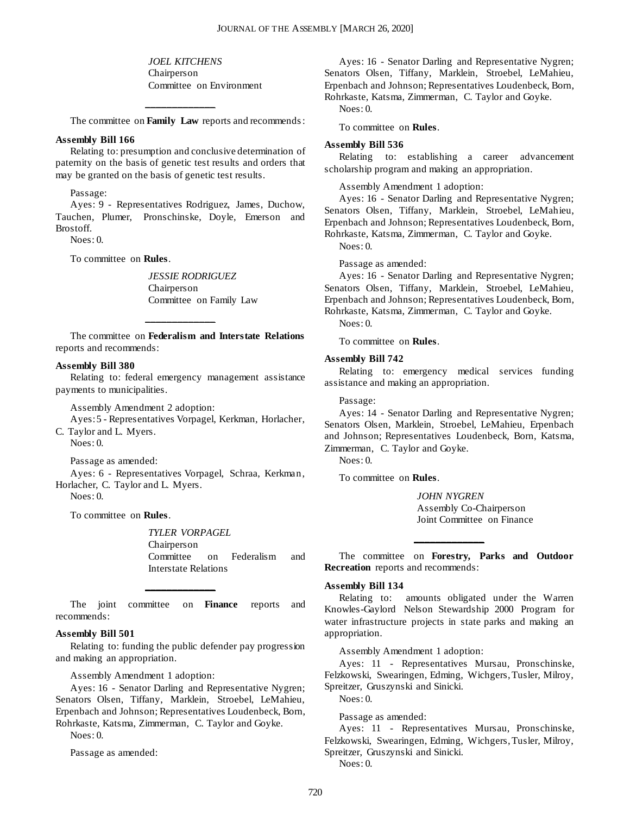*JOEL KITCHENS* Chairperson Committee on Environment

The committee on **Family Law** reports and recommends :

**\_\_\_\_\_\_\_\_\_\_\_\_\_**

#### **Assembly Bill 166**

Relating to: presumption and conclusive determination of paternity on the basis of genetic test results and orders that may be granted on the basis of genetic test results.

Passage:

Ayes: 9 - Representatives Rodriguez, James, Duchow, Tauchen, Plumer, Pronschinske, Doyle, Emerson and Brostoff.

Noes: 0.

To committee on **Rules**.

*JESSIE RODRIGUEZ* Chairperson Committee on Family Law

The committee on **Federalism and Interstate Relations** reports and recommends:

**\_\_\_\_\_\_\_\_\_\_\_\_\_**

#### **Assembly Bill 380**

Relating to: federal emergency management assistance payments to municipalities.

Assembly Amendment 2 adoption:

Ayes: 5 - Representatives Vorpagel, Kerkman, Horlacher, C. Taylor and L. Myers.

Noes: 0.

Passage as amended:

Ayes: 6 - Representatives Vorpagel, Schraa, Kerkman, Horlacher, C. Taylor and L. Myers. Noes: 0.

To committee on **Rules**.

*TYLER VORPAGEL* Chairperson Committee on Federalism and Interstate Relations

The joint committee on **Finance** reports and recommends:

**\_\_\_\_\_\_\_\_\_\_\_\_\_**

#### **Assembly Bill 501**

Relating to: funding the public defender pay progression and making an appropriation.

Assembly Amendment 1 adoption:

Ayes: 16 - Senator Darling and Representative Nygren; Senators Olsen, Tiffany, Marklein, Stroebel, LeMahieu, Erpenbach and Johnson; Representatives Loudenbeck, Born, Rohrkaste, Katsma, Zimmerman, C. Taylor and Goyke.

Noes: 0.

Passage as amended:

Ayes: 16 - Senator Darling and Representative Nygren; Senators Olsen, Tiffany, Marklein, Stroebel, LeMahieu, Erpenbach and Johnson; Representatives Loudenbeck, Born, Rohrkaste, Katsma, Zimmerman, C. Taylor and Goyke. Noes: 0.

To committee on **Rules**.

#### **Assembly Bill 536**

Relating to: establishing a career advancement scholarship program and making an appropriation.

Assembly Amendment 1 adoption:

Ayes: 16 - Senator Darling and Representative Nygren; Senators Olsen, Tiffany, Marklein, Stroebel, LeMahieu, Erpenbach and Johnson; Representatives Loudenbeck, Born, Rohrkaste, Katsma, Zimmerman, C. Taylor and Goyke.

Noes: 0.

Passage as amended:

Ayes: 16 - Senator Darling and Representative Nygren; Senators Olsen, Tiffany, Marklein, Stroebel, LeMahieu, Erpenbach and Johnson; Representatives Loudenbeck, Born, Rohrkaste, Katsma, Zimmerman, C. Taylor and Goyke.

Noes: 0.

To committee on **Rules**.

#### **Assembly Bill 742**

Relating to: emergency medical services funding assistance and making an appropriation.

Passage:

Ayes: 14 - Senator Darling and Representative Nygren; Senators Olsen, Marklein, Stroebel, LeMahieu, Erpenbach and Johnson; Representatives Loudenbeck, Born, Katsma, Zimmerman, C. Taylor and Goyke.

Noes: 0.

To committee on **Rules**.

*JOHN NYGREN* Assembly Co-Chairperson Joint Committee on Finance

The committee on **Forestry, Parks and Outdoor Recreation** reports and recommends:

**\_\_\_\_\_\_\_\_\_\_\_\_\_**

#### **Assembly Bill 134**

Relating to: amounts obligated under the Warren Knowles-Gaylord Nelson Stewardship 2000 Program for water infrastructure projects in state parks and making an appropriation.

Assembly Amendment 1 adoption:

Ayes: 11 - Representatives Mursau, Pronschinske, Felzkowski, Swearingen, Edming, Wichgers, Tusler, Milroy, Spreitzer, Gruszynski and Sinicki.

Noes: 0.

Passage as amended:

Ayes: 11 - Representatives Mursau, Pronschinske, Felzkowski, Swearingen, Edming, Wichgers, Tusler, Milroy, Spreitzer, Gruszynski and Sinicki. Noes: 0.

720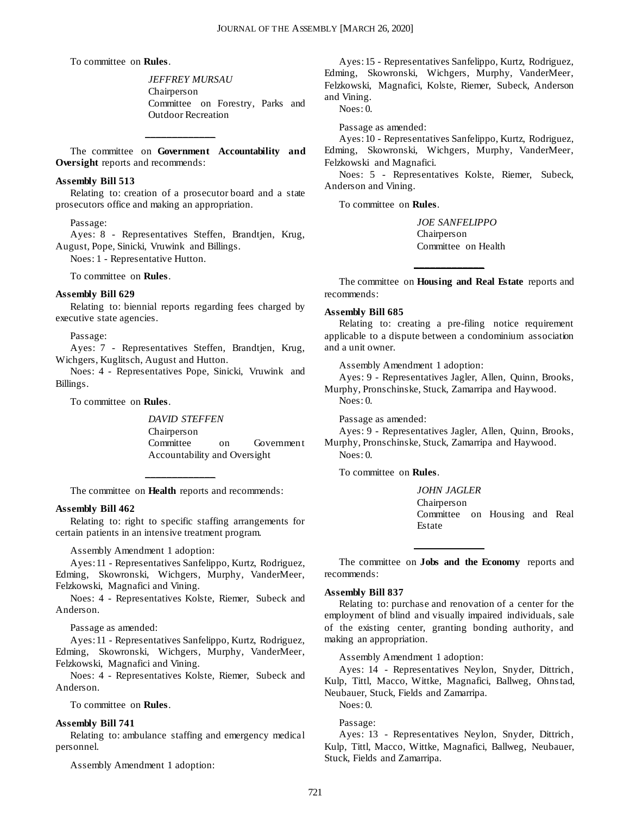To committee on **Rules**.

*JEFFREY MURSAU* Chairperson Committee on Forestry, Parks and Outdoor Recreation

The committee on **Government Accountability and Oversight** reports and recommends:

**\_\_\_\_\_\_\_\_\_\_\_\_\_**

#### **Assembly Bill 513**

Relating to: creation of a prosecutor board and a state prosecutors office and making an appropriation.

#### Passage:

Ayes: 8 - Representatives Steffen, Brandtjen, Krug, August, Pope, Sinicki, Vruwink and Billings.

Noes: 1 - Representative Hutton.

To committee on **Rules**.

#### **Assembly Bill 629**

Relating to: biennial reports regarding fees charged by executive state agencies.

Passage:

Ayes: 7 - Representatives Steffen, Brandtjen, Krug, Wichgers, Kuglitsch, August and Hutton.

Noes: 4 - Representatives Pope, Sinicki, Vruwink and Billings.

To committee on **Rules**.

*DAVID STEFFEN* Chairperson Committee on Government Accountability and Oversight

The committee on **Health** reports and recommends:

**\_\_\_\_\_\_\_\_\_\_\_\_\_**

#### **Assembly Bill 462**

Relating to: right to specific staffing arrangements for certain patients in an intensive treatment program.

Assembly Amendment 1 adoption:

Ayes: 11 - Representatives Sanfelippo, Kurtz, Rodriguez, Edming, Skowronski, Wichgers, Murphy, VanderMeer, Felzkowski, Magnafici and Vining.

Noes: 4 - Representatives Kolste, Riemer, Subeck and Anderson.

Passage as amended:

Ayes: 11 - Representatives Sanfelippo, Kurtz, Rodriguez, Edming, Skowronski, Wichgers, Murphy, VanderMeer, Felzkowski, Magnafici and Vining.

Noes: 4 - Representatives Kolste, Riemer, Subeck and Anderson.

To committee on **Rules**.

#### **Assembly Bill 741**

Relating to: ambulance staffing and emergency medical personnel.

Assembly Amendment 1 adoption:

Ayes: 15 - Representatives Sanfelippo, Kurtz, Rodriguez, Edming, Skowronski, Wichgers, Murphy, VanderMeer, Felzkowski, Magnafici, Kolste, Riemer, Subeck, Anderson and Vining.

Noes: 0.

Passage as amended:

Ayes: 10 - Representatives Sanfelippo, Kurtz, Rodriguez, Edming, Skowronski, Wichgers, Murphy, VanderMeer, Felzkowski and Magnafici.

Noes: 5 - Representatives Kolste, Riemer, Subeck, Anderson and Vining.

To committee on **Rules**.

*JOE SANFELIPPO* Chairperson Committee on Health

The committee on **Housing and Real Estate** reports and recommends:

**\_\_\_\_\_\_\_\_\_\_\_\_\_**

#### **Assembly Bill 685**

Relating to: creating a pre-filing notice requirement applicable to a dispute between a condominium association and a unit owner.

Assembly Amendment 1 adoption:

Ayes: 9 - Representatives Jagler, Allen, Quinn, Brooks, Murphy, Pronschinske, Stuck, Zamarripa and Haywood. Noes: 0.

Passage as amended:

Ayes: 9 - Representatives Jagler, Allen, Quinn, Brooks, Murphy, Pronschinske, Stuck, Zamarripa and Haywood. Noes: 0.

To committee on **Rules**.

*JOHN JAGLER* Chairperson Committee on Housing and Real Estate

The committee on **Jobs and the Economy** reports and recommends:

**\_\_\_\_\_\_\_\_\_\_\_\_\_**

#### **Assembly Bill 837**

Relating to: purchase and renovation of a center for the employment of blind and visually impaired individuals, sale of the existing center, granting bonding authority, and making an appropriation.

Assembly Amendment 1 adoption:

Ayes: 14 - Representatives Neylon, Snyder, Dittrich, Kulp, Tittl, Macco, Wittke, Magnafici, Ballweg, Ohnstad, Neubauer, Stuck, Fields and Zamarripa.

Noes: 0.

Passage:

Ayes: 13 - Representatives Neylon, Snyder, Dittrich, Kulp, Tittl, Macco, Wittke, Magnafici, Ballweg, Neubauer, Stuck, Fields and Zamarripa.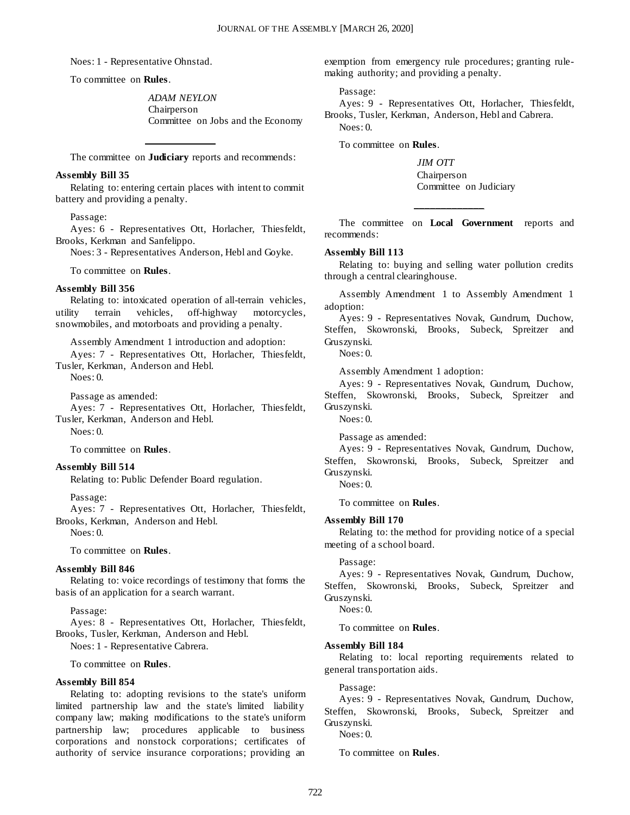Noes: 1 - Representative Ohnstad.

To committee on **Rules**.

*ADAM NEYLON* Chairperson Committee on Jobs and the Economy

**\_\_\_\_\_\_\_\_\_\_\_\_\_** The committee on **Judiciary** reports and recommends:

#### **Assembly Bill 35**

Relating to: entering certain places with intent to commit battery and providing a penalty.

#### Passage:

Ayes: 6 - Representatives Ott, Horlacher, Thiesfeldt, Brooks, Kerkman and Sanfelippo.

Noes: 3 - Representatives Anderson, Hebl and Goyke.

To committee on **Rules**.

#### **Assembly Bill 356**

Relating to: intoxicated operation of all-terrain vehicles, utility terrain vehicles, off-highway motorcycles, snowmobiles, and motorboats and providing a penalty.

Assembly Amendment 1 introduction and adoption:

Ayes: 7 - Representatives Ott, Horlacher, Thiesfeldt, Tusler, Kerkman, Anderson and Hebl.

Noes: 0.

Passage as amended:

Ayes: 7 - Representatives Ott, Horlacher, Thiesfeldt, Tusler, Kerkman, Anderson and Hebl.

Noes: 0.

To committee on **Rules**.

#### **Assembly Bill 514**

Relating to: Public Defender Board regulation.

Passage:

Ayes: 7 - Representatives Ott, Horlacher, Thiesfeldt, Brooks, Kerkman, Anderson and Hebl.

Noes: 0.

To committee on **Rules**.

#### **Assembly Bill 846**

Relating to: voice recordings of testimony that forms the basis of an application for a search warrant.

Passage:

Ayes: 8 - Representatives Ott, Horlacher, Thiesfeldt, Brooks, Tusler, Kerkman, Anderson and Hebl.

Noes: 1 - Representative Cabrera.

To committee on **Rules**.

#### **Assembly Bill 854**

Relating to: adopting revisions to the state's uniform limited partnership law and the state's limited liability company law; making modifications to the state's uniform partnership law; procedures applicable to business corporations and nonstock corporations; certificates of authority of service insurance corporations; providing an

exemption from emergency rule procedures; granting rulemaking authority; and providing a penalty.

Passage:

Ayes: 9 - Representatives Ott, Horlacher, Thiesfeldt, Brooks, Tusler, Kerkman, Anderson, Hebl and Cabrera. Noes: 0.

To committee on **Rules**.

*JIM OTT* Chairperson Committee on Judiciary

The committee on **Local Government** reports and recommends:

**\_\_\_\_\_\_\_\_\_\_\_\_\_**

#### **Assembly Bill 113**

Relating to: buying and selling water pollution credits through a central clearinghouse.

Assembly Amendment 1 to Assembly Amendment 1 adoption:

Ayes: 9 - Representatives Novak, Gundrum, Duchow, Steffen, Skowronski, Brooks, Subeck, Spreitzer and Gruszynski.

Noes: 0.

Assembly Amendment 1 adoption:

Ayes: 9 - Representatives Novak, Gundrum, Duchow, Steffen, Skowronski, Brooks, Subeck, Spreitzer and Gruszynski.

Noes: 0.

Passage as amended:

Ayes: 9 - Representatives Novak, Gundrum, Duchow, Steffen, Skowronski, Brooks, Subeck, Spreitzer and Gruszynski.

Noes: 0.

To committee on **Rules**.

#### **Assembly Bill 170**

Relating to: the method for providing notice of a special meeting of a school board.

#### Passage:

Ayes: 9 - Representatives Novak, Gundrum, Duchow, Steffen, Skowronski, Brooks, Subeck, Spreitzer and Gruszynski.

Noes: 0.

To committee on **Rules**.

#### **Assembly Bill 184**

Relating to: local reporting requirements related to general transportation aids.

Passage:

Ayes: 9 - Representatives Novak, Gundrum, Duchow, Steffen, Skowronski, Brooks, Subeck, Spreitzer and Gruszynski.

Noes: 0.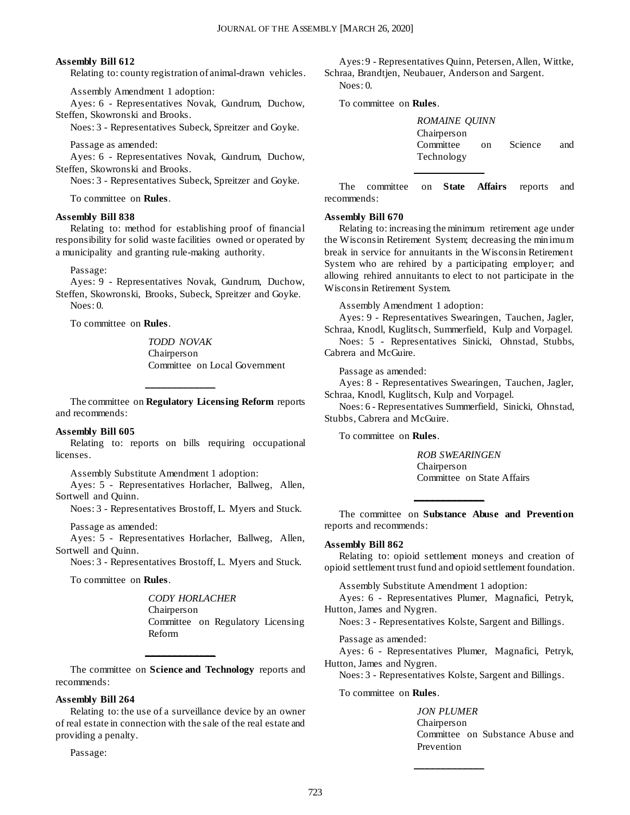#### **Assembly Bill 612**

Relating to: county registration of animal-drawn vehicles.

Assembly Amendment 1 adoption:

Ayes: 6 - Representatives Novak, Gundrum, Duchow, Steffen, Skowronski and Brooks.

Noes: 3 - Representatives Subeck, Spreitzer and Goyke.

Passage as amended:

Ayes: 6 - Representatives Novak, Gundrum, Duchow, Steffen, Skowronski and Brooks.

Noes: 3 - Representatives Subeck, Spreitzer and Goyke.

To committee on **Rules**.

#### **Assembly Bill 838**

Relating to: method for establishing proof of financial responsibility for solid waste facilities owned or operated by a municipality and granting rule-making authority.

Passage:

Ayes: 9 - Representatives Novak, Gundrum, Duchow, Steffen, Skowronski, Brooks, Subeck, Spreitzer and Goyke.  $N$ oes: 0.

To committee on **Rules**.

*TODD NOVAK* Chairperson Committee on Local Government

The committee on **Regulatory Licensing Reform** reports and recommends:

**\_\_\_\_\_\_\_\_\_\_\_\_\_**

#### **Assembly Bill 605**

Relating to: reports on bills requiring occupational licenses.

Assembly Substitute Amendment 1 adoption:

Ayes: 5 - Representatives Horlacher, Ballweg, Allen, Sortwell and Quinn.

Noes: 3 - Representatives Brostoff, L. Myers and Stuck.

Passage as amended:

Ayes: 5 - Representatives Horlacher, Ballweg, Allen, Sortwell and Quinn.

Noes: 3 - Representatives Brostoff, L. Myers and Stuck.

To committee on **Rules**.

*CODY HORLACHER* Chairperson Committee on Regulatory Licensing Reform

The committee on **Science and Technology** reports and recommends:

**\_\_\_\_\_\_\_\_\_\_\_\_\_**

#### **Assembly Bill 264**

Relating to: the use of a surveillance device by an owner of real estate in connection with the sale of the real estate and providing a penalty.

Passage:

Ayes: 9 - Representatives Quinn, Petersen, Allen, Wittke, Schraa, Brandtjen, Neubauer, Anderson and Sargent. Noes: 0.

To committee on **Rules**.

| <b>ROMAINE OUINN</b>     |    |         |     |
|--------------------------|----|---------|-----|
| Chairperson<br>Committee | Ωn | Science | and |
| Technology               |    |         |     |
|                          |    |         |     |

The committee on **State Affairs** reports and recommends:

#### **Assembly Bill 670**

Relating to: increasing the minimum retirement age under the Wisconsin Retirement System; decreasing the minimum break in service for annuitants in the Wisconsin Retirement System who are rehired by a participating employer; and allowing rehired annuitants to elect to not participate in the Wisconsin Retirement System.

Assembly Amendment 1 adoption:

Ayes: 9 - Representatives Swearingen, Tauchen, Jagler, Schraa, Knodl, Kuglitsch, Summerfield, Kulp and Vorpagel. Noes: 5 - Representatives Sinicki, Ohnstad, Stubbs, Cabrera and McGuire.

Passage as amended:

Ayes: 8 - Representatives Swearingen, Tauchen, Jagler, Schraa, Knodl, Kuglitsch, Kulp and Vorpagel.

Noes: 6 - Representatives Summerfield, Sinicki, Ohnstad, Stubbs, Cabrera and McGuire.

To committee on **Rules**.

*ROB SWEARINGEN* Chairperson Committee on State Affairs

The committee on **Substance Abuse and Prevention** reports and recommends:

**\_\_\_\_\_\_\_\_\_\_\_\_\_**

#### **Assembly Bill 862**

Relating to: opioid settlement moneys and creation of opioid settlement trust fund and opioid settlement foundation.

Assembly Substitute Amendment 1 adoption:

Ayes: 6 - Representatives Plumer, Magnafici, Petryk, Hutton, James and Nygren.

Noes: 3 - Representatives Kolste, Sargent and Billings.

Passage as amended:

Ayes: 6 - Representatives Plumer, Magnafici, Petryk, Hutton, James and Nygren.

Noes: 3 - Representatives Kolste, Sargent and Billings.

**\_\_\_\_\_\_\_\_\_\_\_\_\_**

To committee on **Rules**.

*JON PLUMER* Chairperson Committee on Substance Abuse and Prevention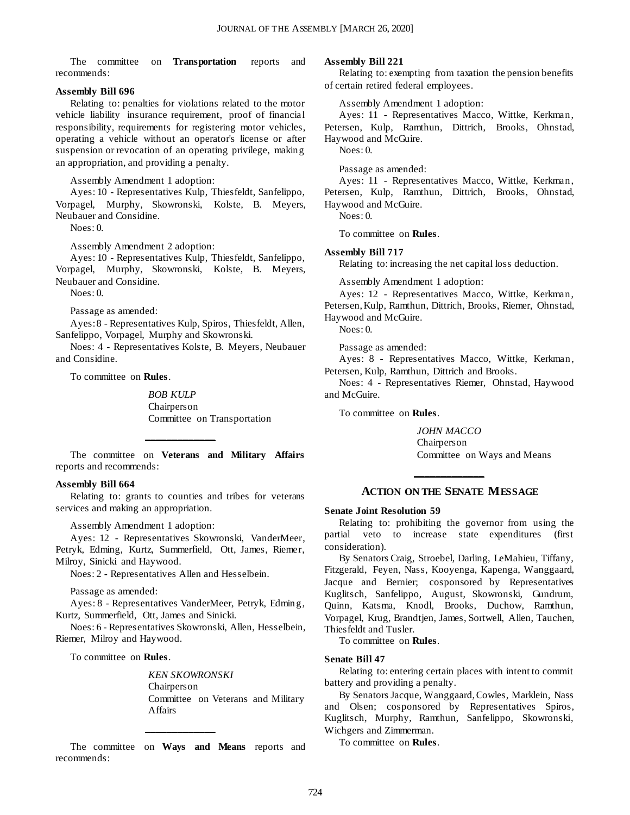The committee on **Transportation** reports and recommends:

#### **Assembly Bill 696**

Relating to: penalties for violations related to the motor vehicle liability insurance requirement, proof of financial responsibility, requirements for registering motor vehicles, operating a vehicle without an operator's license or after suspension or revocation of an operating privilege, making an appropriation, and providing a penalty.

Assembly Amendment 1 adoption:

Ayes: 10 - Representatives Kulp, Thiesfeldt, Sanfelippo, Vorpagel, Murphy, Skowronski, Kolste, B. Meyers, Neubauer and Considine.

Noes: 0.

Assembly Amendment 2 adoption:

Ayes: 10 - Representatives Kulp, Thiesfeldt, Sanfelippo, Vorpagel, Murphy, Skowronski, Kolste, B. Meyers, Neubauer and Considine.

Noes: 0.

Passage as amended:

Ayes: 8 - Representatives Kulp, Spiros, Thiesfeldt, Allen, Sanfelippo, Vorpagel, Murphy and Skowronski.

Noes: 4 - Representatives Kolste, B. Meyers, Neubauer and Considine.

To committee on **Rules**.

*BOB KULP* Chairperson Committee on Transportation

The committee on **Veterans and Military Affairs** reports and recommends:

**\_\_\_\_\_\_\_\_\_\_\_\_\_**

#### **Assembly Bill 664**

Relating to: grants to counties and tribes for veterans services and making an appropriation.

Assembly Amendment 1 adoption:

Ayes: 12 - Representatives Skowronski, VanderMeer, Petryk, Edming, Kurtz, Summerfield, Ott, James, Riemer, Milroy, Sinicki and Haywood.

Noes: 2 - Representatives Allen and Hesselbein.

Passage as amended:

Ayes: 8 - Representatives VanderMeer, Petryk, Edming, Kurtz, Summerfield, Ott, James and Sinicki.

Noes: 6 - Representatives Skowronski, Allen, Hesselbein, Riemer, Milroy and Haywood.

To committee on **Rules**.

*KEN SKOWRONSKI* Chairperson Committee on Veterans and Military Affairs

The committee on **Ways and Means** reports and recommends:

**\_\_\_\_\_\_\_\_\_\_\_\_\_**

#### **Assembly Bill 221**

Relating to: exempting from taxation the pension benefits of certain retired federal employees.

Assembly Amendment 1 adoption:

Ayes: 11 - Representatives Macco, Wittke, Kerkman, Petersen, Kulp, Ramthun, Dittrich, Brooks, Ohnstad, Haywood and McGuire.

Noes: 0.

Passage as amended:

Ayes: 11 - Representatives Macco, Wittke, Kerkman, Petersen, Kulp, Ramthun, Dittrich, Brooks, Ohnstad, Haywood and McGuire.

 $N$ oes: 0.

To committee on **Rules**.

#### **Assembly Bill 717**

Relating to: increasing the net capital loss deduction.

Assembly Amendment 1 adoption:

Ayes: 12 - Representatives Macco, Wittke, Kerkman, Petersen, Kulp, Ramthun, Dittrich, Brooks, Riemer, Ohnstad, Haywood and McGuire.

Noes: 0.

Passage as amended:

Ayes: 8 - Representatives Macco, Wittke, Kerkman, Petersen, Kulp, Ramthun, Dittrich and Brooks.

Noes: 4 - Representatives Riemer, Ohnstad, Haywood and McGuire.

To committee on **Rules**.

*JOHN MACCO* Chairperson Committee on Ways and Means

## **\_\_\_\_\_\_\_\_\_\_\_\_\_ ACTION ON THE SENATE MESSAGE**

#### **Senate Joint Resolution 59**

Relating to: prohibiting the governor from using the partial veto to increase state expenditures (first consideration).

By Senators Craig, Stroebel, Darling, LeMahieu, Tiffany, Fitzgerald, Feyen, Nass, Kooyenga, Kapenga, Wanggaard, Jacque and Bernier; cosponsored by Representatives Kuglitsch, Sanfelippo, August, Skowronski, Gundrum, Quinn, Katsma, Knodl, Brooks, Duchow, Ramthun, Vorpagel, Krug, Brandtjen, James, Sortwell, Allen, Tauchen, Thiesfeldt and Tusler.

To committee on **Rules**.

#### **Senate Bill 47**

Relating to: entering certain places with intent to commit battery and providing a penalty.

By Senators Jacque, Wanggaard, Cowles, Marklein, Nass and Olsen; cosponsored by Representatives Spiros, Kuglitsch, Murphy, Ramthun, Sanfelippo, Skowronski, Wichgers and Zimmerman.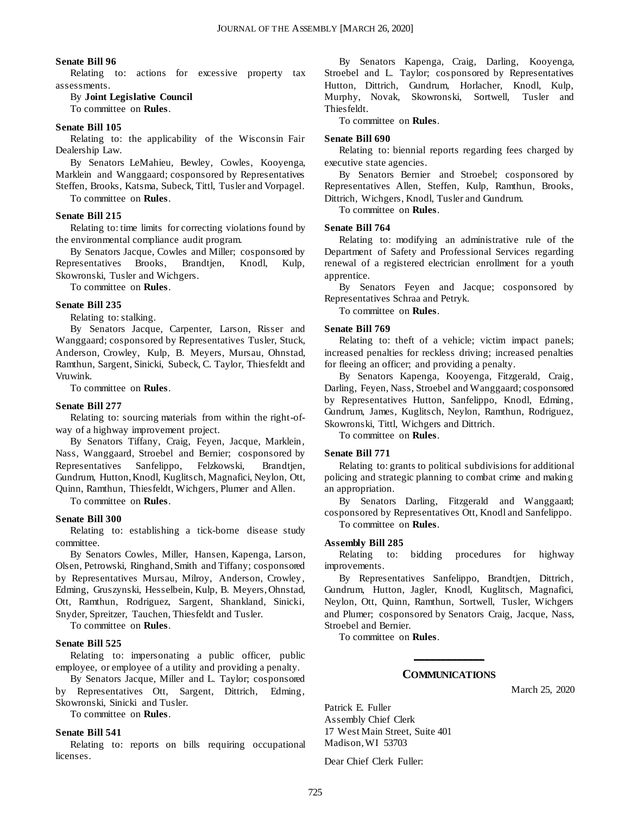#### **Senate Bill 96**

Relating to: actions for excessive property tax assessments.

By **Joint Legislative Council** To committee on **Rules**.

#### **Senate Bill 105**

Relating to: the applicability of the Wisconsin Fair Dealership Law.

By Senators LeMahieu, Bewley, Cowles, Kooyenga, Marklein and Wanggaard; cosponsored by Representatives Steffen, Brooks, Katsma, Subeck, Tittl, Tusler and Vorpagel.

To committee on **Rules**.

#### **Senate Bill 215**

Relating to: time limits for correcting violations found by the environmental compliance audit program.

By Senators Jacque, Cowles and Miller; cosponsored by Representatives Brooks, Brandtjen, Knodl, Kulp, Skowronski, Tusler and Wichgers.

To committee on **Rules**.

#### **Senate Bill 235**

Relating to: stalking.

By Senators Jacque, Carpenter, Larson, Risser and Wanggaard; cosponsored by Representatives Tusler, Stuck, Anderson, Crowley, Kulp, B. Meyers, Mursau, Ohnstad, Ramthun, Sargent, Sinicki, Subeck, C. Taylor, Thiesfeldt and Vruwink.

To committee on **Rules**.

#### **Senate Bill 277**

Relating to: sourcing materials from within the right-ofway of a highway improvement project.

By Senators Tiffany, Craig, Feyen, Jacque, Marklein, Nass, Wanggaard, Stroebel and Bernier; cosponsored by Representatives Sanfelippo, Felzkowski, Brandtjen, Gundrum, Hutton, Knodl, Kuglitsch, Magnafici, Neylon, Ott, Quinn, Ramthun, Thiesfeldt, Wichgers, Plumer and Allen.

To committee on **Rules**.

#### **Senate Bill 300**

Relating to: establishing a tick-borne disease study committee.

By Senators Cowles, Miller, Hansen, Kapenga, Larson, Olsen, Petrowski, Ringhand, Smith and Tiffany; cosponsored by Representatives Mursau, Milroy, Anderson, Crowley, Edming, Gruszynski, Hesselbein, Kulp, B. Meyers, Ohnstad, Ott, Ramthun, Rodriguez, Sargent, Shankland, Sinicki, Snyder, Spreitzer, Tauchen, Thiesfeldt and Tusler.

To committee on **Rules**.

#### **Senate Bill 525**

Relating to: impersonating a public officer, public employee, or employee of a utility and providing a penalty.

By Senators Jacque, Miller and L. Taylor; cosponsored by Representatives Ott, Sargent, Dittrich, Edming, Skowronski, Sinicki and Tusler.

To committee on **Rules**.

#### **Senate Bill 541**

Relating to: reports on bills requiring occupational licenses.

By Senators Kapenga, Craig, Darling, Kooyenga, Stroebel and L. Taylor; cosponsored by Representatives Hutton, Dittrich, Gundrum, Horlacher, Knodl, Kulp, Murphy, Novak, Skowronski, Sortwell, Tusler and Thiesfeldt.

To committee on **Rules**.

#### **Senate Bill 690**

Relating to: biennial reports regarding fees charged by executive state agencies.

By Senators Bernier and Stroebel; cosponsored by Representatives Allen, Steffen, Kulp, Ramthun, Brooks, Dittrich, Wichgers, Knodl, Tusler and Gundrum.

To committee on **Rules**.

#### **Senate Bill 764**

Relating to: modifying an administrative rule of the Department of Safety and Professional Services regarding renewal of a registered electrician enrollment for a youth apprentice.

By Senators Feyen and Jacque; cosponsored by Representatives Schraa and Petryk.

To committee on **Rules**.

#### **Senate Bill 769**

Relating to: theft of a vehicle; victim impact panels; increased penalties for reckless driving; increased penalties for fleeing an officer; and providing a penalty.

By Senators Kapenga, Kooyenga, Fitzgerald, Craig, Darling, Feyen, Nass, Stroebel and Wanggaard; cosponsored by Representatives Hutton, Sanfelippo, Knodl, Edming, Gundrum, James, Kuglitsch, Neylon, Ramthun, Rodriguez, Skowronski, Tittl, Wichgers and Dittrich.

To committee on **Rules**.

#### **Senate Bill 771**

Relating to: grants to political subdivisions for additional policing and strategic planning to combat crime and making an appropriation.

By Senators Darling, Fitzgerald and Wanggaard; cosponsored by Representatives Ott, Knodl and Sanfelippo. To committee on **Rules**.

#### **Assembly Bill 285**

Relating to: bidding procedures for highway improvements.

By Representatives Sanfelippo, Brandtjen, Dittrich, Gundrum, Hutton, Jagler, Knodl, Kuglitsch, Magnafici, Neylon, Ott, Quinn, Ramthun, Sortwell, Tusler, Wichgers and Plumer; cosponsored by Senators Craig, Jacque, Nass, Stroebel and Bernier.

To committee on **Rules**.

## **\_\_\_\_\_\_\_\_\_\_\_\_\_ COMMUNICATIONS**

March 25, 2020

Patrick E. Fuller Assembly Chief Clerk 17 West Main Street, Suite 401 Madison, WI 53703

Dear Chief Clerk Fuller: